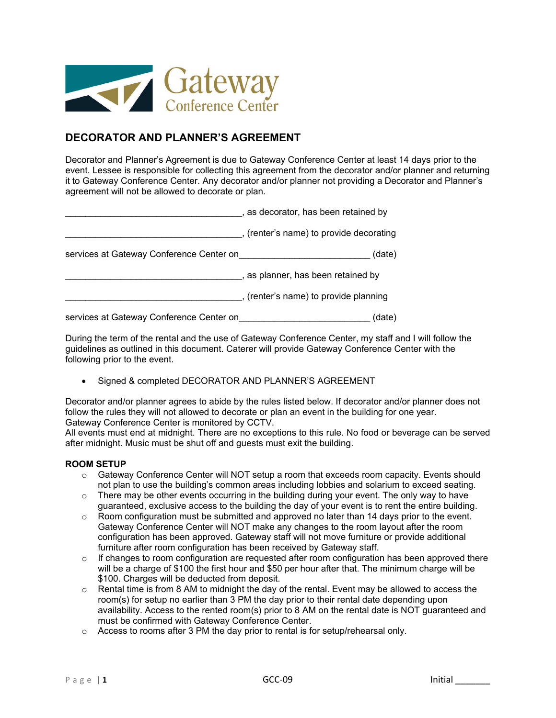

# **DECORATOR AND PLANNER'S AGREEMENT**

Decorator and Planner's Agreement is due to Gateway Conference Center at least 14 days prior to the event. Lessee is responsible for collecting this agreement from the decorator and/or planner and returning it to Gateway Conference Center. Any decorator and/or planner not providing a Decorator and Planner's agreement will not be allowed to decorate or plan.

|                                          | , as decorator, has been retained by    |
|------------------------------------------|-----------------------------------------|
|                                          | , (renter's name) to provide decorating |
| services at Gateway Conference Center on | (date)                                  |
|                                          | , as planner, has been retained by      |
|                                          | , (renter's name) to provide planning   |
| services at Gateway Conference Center on | (date)                                  |

During the term of the rental and the use of Gateway Conference Center, my staff and I will follow the guidelines as outlined in this document. Caterer will provide Gateway Conference Center with the following prior to the event.

Signed & completed DECORATOR AND PLANNER'S AGREEMENT

Decorator and/or planner agrees to abide by the rules listed below. If decorator and/or planner does not follow the rules they will not allowed to decorate or plan an event in the building for one year. Gateway Conference Center is monitored by CCTV.

All events must end at midnight. There are no exceptions to this rule. No food or beverage can be served after midnight. Music must be shut off and guests must exit the building.

## **ROOM SETUP**

- $\circ$  Gateway Conference Center will NOT setup a room that exceeds room capacity. Events should not plan to use the building's common areas including lobbies and solarium to exceed seating.
- $\circ$  There may be other events occurring in the building during your event. The only way to have guaranteed, exclusive access to the building the day of your event is to rent the entire building.
- $\circ$  Room configuration must be submitted and approved no later than 14 days prior to the event. Gateway Conference Center will NOT make any changes to the room layout after the room configuration has been approved. Gateway staff will not move furniture or provide additional furniture after room configuration has been received by Gateway staff.
- $\circ$  If changes to room configuration are requested after room configuration has been approved there will be a charge of \$100 the first hour and \$50 per hour after that. The minimum charge will be \$100. Charges will be deducted from deposit.
- $\circ$  Rental time is from 8 AM to midnight the day of the rental. Event may be allowed to access the room(s) for setup no earlier than 3 PM the day prior to their rental date depending upon availability. Access to the rented room(s) prior to 8 AM on the rental date is NOT guaranteed and must be confirmed with Gateway Conference Center.
- $\circ$  Access to rooms after 3 PM the day prior to rental is for setup/rehearsal only.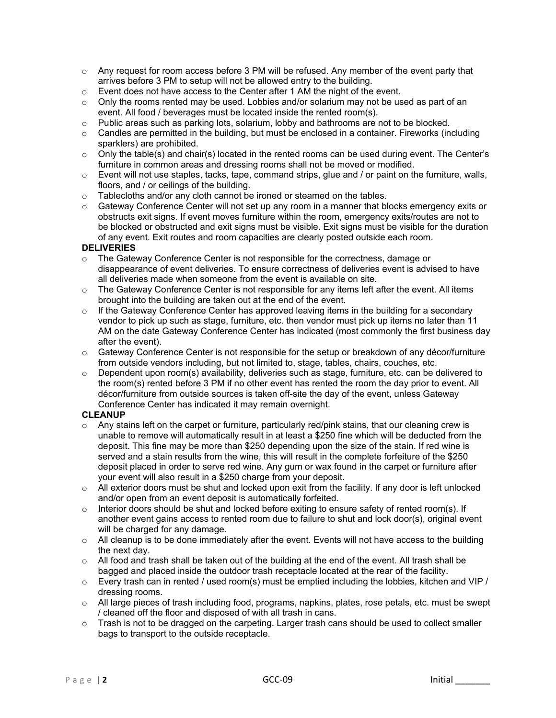- $\circ$  Any request for room access before 3 PM will be refused. Any member of the event party that arrives before 3 PM to setup will not be allowed entry to the building.
- $\circ$  Event does not have access to the Center after 1 AM the night of the event.
- $\circ$  Only the rooms rented may be used. Lobbies and/or solarium may not be used as part of an event. All food / beverages must be located inside the rented room(s).
- o Public areas such as parking lots, solarium, lobby and bathrooms are not to be blocked.
- $\circ$  Candles are permitted in the building, but must be enclosed in a container. Fireworks (including sparklers) are prohibited.
- o Only the table(s) and chair(s) located in the rented rooms can be used during event. The Center's furniture in common areas and dressing rooms shall not be moved or modified.
- $\circ$  Event will not use staples, tacks, tape, command strips, glue and / or paint on the furniture, walls, floors, and / or ceilings of the building.
- Tablecloths and/or any cloth cannot be ironed or steamed on the tables.<br>○ Gateway Conference Center will not set up any room in a manner that hi
- Gateway Conference Center will not set up any room in a manner that blocks emergency exits or obstructs exit signs. If event moves furniture within the room, emergency exits/routes are not to be blocked or obstructed and exit signs must be visible. Exit signs must be visible for the duration of any event. Exit routes and room capacities are clearly posted outside each room.

## **DELIVERIES**

- $\circ$  The Gateway Conference Center is not responsible for the correctness, damage or disappearance of event deliveries. To ensure correctness of deliveries event is advised to have all deliveries made when someone from the event is available on site.
- $\circ$  The Gateway Conference Center is not responsible for any items left after the event. All items brought into the building are taken out at the end of the event.
- $\circ$  If the Gateway Conference Center has approved leaving items in the building for a secondary vendor to pick up such as stage, furniture, etc. then vendor must pick up items no later than 11 AM on the date Gateway Conference Center has indicated (most commonly the first business day after the event).
- $\circ$  Gateway Conference Center is not responsible for the setup or breakdown of any décor/furniture from outside vendors including, but not limited to, stage, tables, chairs, couches, etc.
- $\circ$  Dependent upon room(s) availability, deliveries such as stage, furniture, etc. can be delivered to the room(s) rented before 3 PM if no other event has rented the room the day prior to event. All décor/furniture from outside sources is taken off-site the day of the event, unless Gateway Conference Center has indicated it may remain overnight.

#### **CLEANUP**

- $\circ$  Any stains left on the carpet or furniture, particularly red/pink stains, that our cleaning crew is unable to remove will automatically result in at least a \$250 fine which will be deducted from the deposit. This fine may be more than \$250 depending upon the size of the stain. If red wine is served and a stain results from the wine, this will result in the complete forfeiture of the \$250 deposit placed in order to serve red wine. Any gum or wax found in the carpet or furniture after your event will also result in a \$250 charge from your deposit.
- $\circ$  All exterior doors must be shut and locked upon exit from the facility. If any door is left unlocked and/or open from an event deposit is automatically forfeited.
- o Interior doors should be shut and locked before exiting to ensure safety of rented room(s). If another event gains access to rented room due to failure to shut and lock door(s), original event will be charged for any damage.
- $\circ$  All cleanup is to be done immediately after the event. Events will not have access to the building the next day.
- $\circ$  All food and trash shall be taken out of the building at the end of the event. All trash shall be bagged and placed inside the outdoor trash receptacle located at the rear of the facility.
- $\circ$  Every trash can in rented / used room(s) must be emptied including the lobbies, kitchen and VIP / dressing rooms.
- o All large pieces of trash including food, programs, napkins, plates, rose petals, etc. must be swept / cleaned off the floor and disposed of with all trash in cans.
- $\circ$  Trash is not to be dragged on the carpeting. Larger trash cans should be used to collect smaller bags to transport to the outside receptacle.